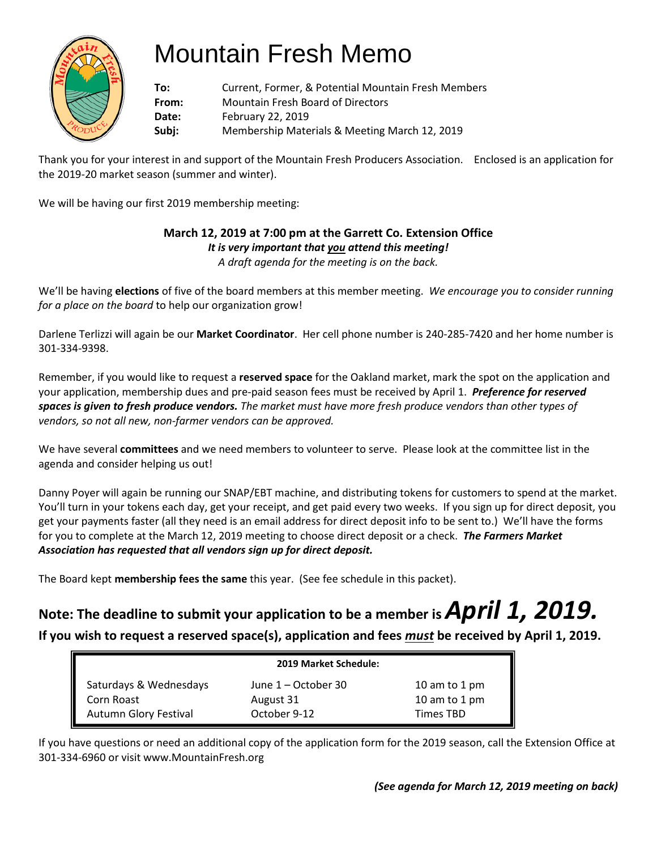

# Mountain Fresh Memo

**To:** Current, Former, & Potential Mountain Fresh Members **From:** Mountain Fresh Board of Directors **Date:** February 22, 2019 **Subj:** Membership Materials & Meeting March 12, 2019

Thank you for your interest in and support of the Mountain Fresh Producers Association. Enclosed is an application for the 2019-20 market season (summer and winter).

We will be having our first 2019 membership meeting:

# **March 12, 2019 at 7:00 pm at the Garrett Co. Extension Office**

*It is very important that you attend this meeting!*

*A draft agenda for the meeting is on the back.*

We'll be having **elections** of five of the board members at this member meeting. *We encourage you to consider running for a place on the board* to help our organization grow!

Darlene Terlizzi will again be our **Market Coordinator**. Her cell phone number is 240-285-7420 and her home number is 301-334-9398.

Remember, if you would like to request a **reserved space** for the Oakland market, mark the spot on the application and your application, membership dues and pre-paid season fees must be received by April 1. *Preference for reserved spaces is given to fresh produce vendors. The market must have more fresh produce vendors than other types of vendors, so not all new, non-farmer vendors can be approved.*

We have several **committees** and we need members to volunteer to serve. Please look at the committee list in the agenda and consider helping us out!

Danny Poyer will again be running our SNAP/EBT machine, and distributing tokens for customers to spend at the market. You'll turn in your tokens each day, get your receipt, and get paid every two weeks. If you sign up for direct deposit, you get your payments faster (all they need is an email address for direct deposit info to be sent to.) We'll have the forms for you to complete at the March 12, 2019 meeting to choose direct deposit or a check. *The Farmers Market Association has requested that all vendors sign up for direct deposit.* 

The Board kept **membership fees the same** this year. (See fee schedule in this packet).

# **Note: The deadline to submit your application to be a member is** *April 1, 2019.* **If you wish to request a reserved space(s), application and fees** *must* **be received by April 1, 2019.**

|                        | 2019 Market Schedule: |                  |  |
|------------------------|-----------------------|------------------|--|
| Saturdays & Wednesdays | June 1 – October 30   | 10 am to 1 pm    |  |
| Corn Roast             | August 31             | 10 am to 1 pm    |  |
| Autumn Glory Festival  | October 9-12          | <b>Times TBD</b> |  |

If you have questions or need an additional copy of the application form for the 2019 season, call the Extension Office at 301-334-6960 or visit www.MountainFresh.org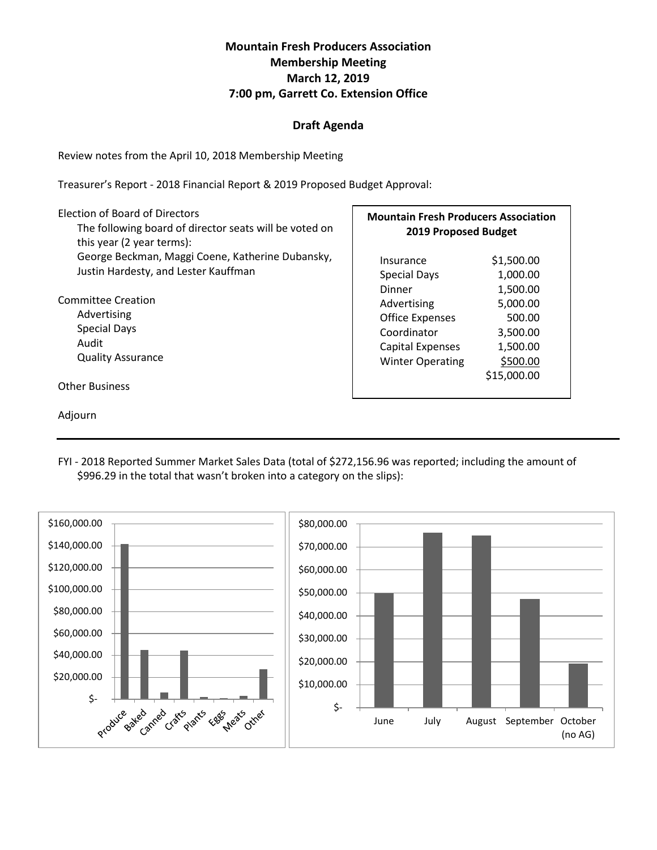#### **Mountain Fresh Producers Association Membership Meeting March 12, 2019 7:00 pm, Garrett Co. Extension Office**

#### **Draft Agenda**

Review notes from the April 10, 2018 Membership Meeting

Treasurer's Report - 2018 Financial Report & 2019 Proposed Budget Approval:

| Election of Board of Directors<br>The following board of director seats will be voted on<br>this year (2 year terms): | <b>Mountain Fresh Producers Association</b><br>2019 Proposed Budget |             |  |
|-----------------------------------------------------------------------------------------------------------------------|---------------------------------------------------------------------|-------------|--|
| George Beckman, Maggi Coene, Katherine Dubansky,                                                                      | Insurance                                                           | \$1,500.00  |  |
| Justin Hardesty, and Lester Kauffman                                                                                  | <b>Special Days</b>                                                 | 1,000.00    |  |
|                                                                                                                       | Dinner                                                              | 1,500.00    |  |
| Committee Creation                                                                                                    | Advertising                                                         | 5,000.00    |  |
| Advertising                                                                                                           | <b>Office Expenses</b>                                              | 500.00      |  |
| <b>Special Days</b>                                                                                                   | Coordinator                                                         | 3,500.00    |  |
| Audit                                                                                                                 | <b>Capital Expenses</b>                                             | 1,500.00    |  |
| <b>Quality Assurance</b>                                                                                              | <b>Winter Operating</b>                                             | \$500.00    |  |
| <b>Other Business</b>                                                                                                 |                                                                     | \$15,000.00 |  |

Adjourn

FYI - 2018 Reported Summer Market Sales Data (total of \$272,156.96 was reported; including the amount of \$996.29 in the total that wasn't broken into a category on the slips):

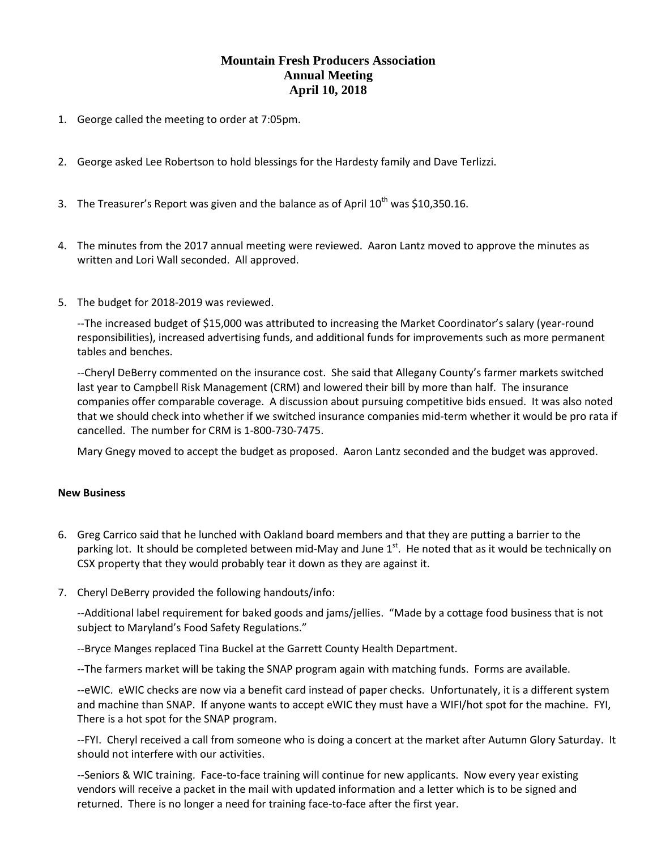#### **Mountain Fresh Producers Association Annual Meeting April 10, 2018**

- 1. George called the meeting to order at 7:05pm.
- 2. George asked Lee Robertson to hold blessings for the Hardesty family and Dave Terlizzi.
- 3. The Treasurer's Report was given and the balance as of April  $10^{th}$  was \$10,350.16.
- 4. The minutes from the 2017 annual meeting were reviewed. Aaron Lantz moved to approve the minutes as written and Lori Wall seconded. All approved.
- 5. The budget for 2018-2019 was reviewed.

--The increased budget of \$15,000 was attributed to increasing the Market Coordinator's salary (year-round responsibilities), increased advertising funds, and additional funds for improvements such as more permanent tables and benches.

--Cheryl DeBerry commented on the insurance cost. She said that Allegany County's farmer markets switched last year to Campbell Risk Management (CRM) and lowered their bill by more than half. The insurance companies offer comparable coverage. A discussion about pursuing competitive bids ensued. It was also noted that we should check into whether if we switched insurance companies mid-term whether it would be pro rata if cancelled. The number for CRM is 1-800-730-7475.

Mary Gnegy moved to accept the budget as proposed. Aaron Lantz seconded and the budget was approved.

#### **New Business**

- 6. Greg Carrico said that he lunched with Oakland board members and that they are putting a barrier to the parking lot. It should be completed between mid-May and June 1<sup>st</sup>. He noted that as it would be technically on CSX property that they would probably tear it down as they are against it.
- 7. Cheryl DeBerry provided the following handouts/info:

--Additional label requirement for baked goods and jams/jellies. "Made by a cottage food business that is not subject to Maryland's Food Safety Regulations."

--Bryce Manges replaced Tina Buckel at the Garrett County Health Department.

--The farmers market will be taking the SNAP program again with matching funds. Forms are available.

--eWIC. eWIC checks are now via a benefit card instead of paper checks. Unfortunately, it is a different system and machine than SNAP. If anyone wants to accept eWIC they must have a WIFI/hot spot for the machine. FYI, There is a hot spot for the SNAP program.

--FYI. Cheryl received a call from someone who is doing a concert at the market after Autumn Glory Saturday. It should not interfere with our activities.

--Seniors & WIC training. Face-to-face training will continue for new applicants. Now every year existing vendors will receive a packet in the mail with updated information and a letter which is to be signed and returned. There is no longer a need for training face-to-face after the first year.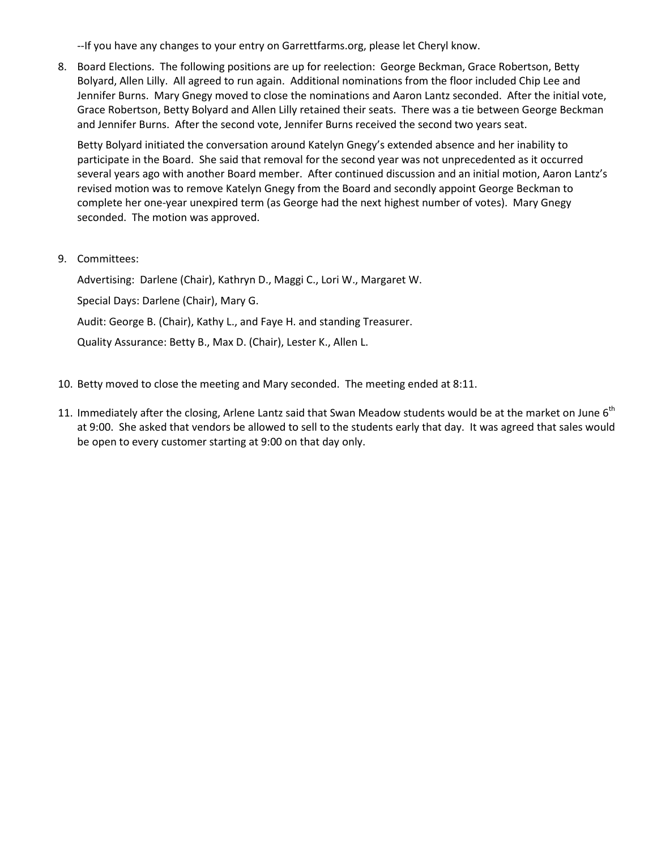--If you have any changes to your entry on Garrettfarms.org, please let Cheryl know.

8. Board Elections. The following positions are up for reelection: George Beckman, Grace Robertson, Betty Bolyard, Allen Lilly. All agreed to run again. Additional nominations from the floor included Chip Lee and Jennifer Burns. Mary Gnegy moved to close the nominations and Aaron Lantz seconded. After the initial vote, Grace Robertson, Betty Bolyard and Allen Lilly retained their seats. There was a tie between George Beckman and Jennifer Burns. After the second vote, Jennifer Burns received the second two years seat.

Betty Bolyard initiated the conversation around Katelyn Gnegy's extended absence and her inability to participate in the Board. She said that removal for the second year was not unprecedented as it occurred several years ago with another Board member. After continued discussion and an initial motion, Aaron Lantz's revised motion was to remove Katelyn Gnegy from the Board and secondly appoint George Beckman to complete her one-year unexpired term (as George had the next highest number of votes). Mary Gnegy seconded. The motion was approved.

9. Committees:

Advertising: Darlene (Chair), Kathryn D., Maggi C., Lori W., Margaret W. Special Days: Darlene (Chair), Mary G. Audit: George B. (Chair), Kathy L., and Faye H. and standing Treasurer. Quality Assurance: Betty B., Max D. (Chair), Lester K., Allen L.

- 10. Betty moved to close the meeting and Mary seconded. The meeting ended at 8:11.
- 11. Immediately after the closing, Arlene Lantz said that Swan Meadow students would be at the market on June  $6<sup>th</sup>$ at 9:00. She asked that vendors be allowed to sell to the students early that day. It was agreed that sales would be open to every customer starting at 9:00 on that day only.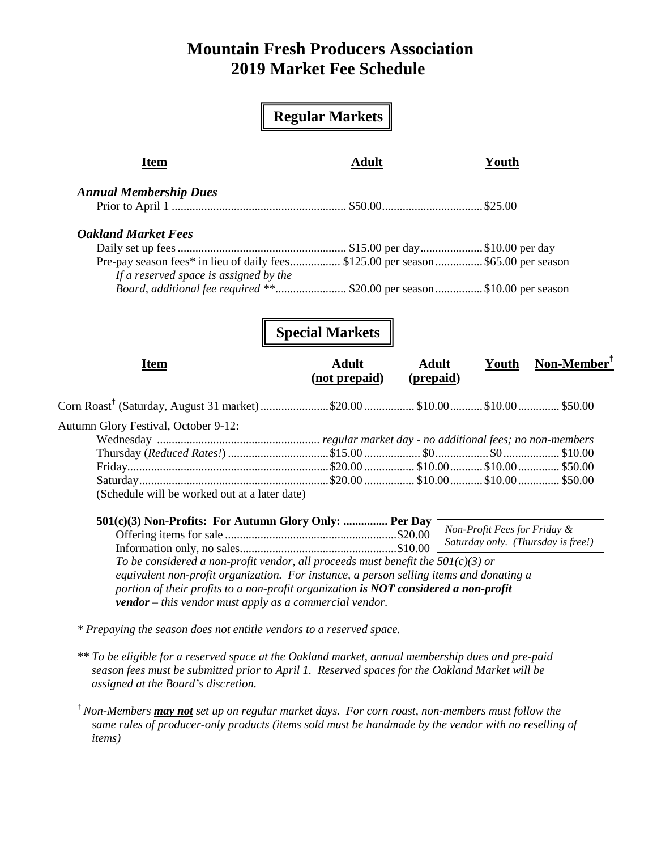### **Mountain Fresh Producers Association 2019 Market Fee Schedule**

|                                                                      | <b>Regular Markets</b>                                                                                                                                                                                                                                                |                                                                    |
|----------------------------------------------------------------------|-----------------------------------------------------------------------------------------------------------------------------------------------------------------------------------------------------------------------------------------------------------------------|--------------------------------------------------------------------|
| <b>Item</b>                                                          | <b>Adult</b>                                                                                                                                                                                                                                                          | Youth                                                              |
| <b>Annual Membership Dues</b>                                        |                                                                                                                                                                                                                                                                       |                                                                    |
|                                                                      |                                                                                                                                                                                                                                                                       |                                                                    |
| <b>Oakland Market Fees</b>                                           |                                                                                                                                                                                                                                                                       |                                                                    |
|                                                                      |                                                                                                                                                                                                                                                                       |                                                                    |
|                                                                      | Pre-pay season fees* in lieu of daily fees \$125.00 per season \$65.00 per season                                                                                                                                                                                     |                                                                    |
| If a reserved space is assigned by the                               |                                                                                                                                                                                                                                                                       |                                                                    |
|                                                                      |                                                                                                                                                                                                                                                                       |                                                                    |
| <b>Item</b>                                                          | <b>Special Markets</b><br><b>Adult</b><br><b>Adult</b><br>(not prepaid)<br>(prepaid)                                                                                                                                                                                  | $\textbf{Non-Member}^{\mathsf{T}}$<br>Youth                        |
|                                                                      |                                                                                                                                                                                                                                                                       |                                                                    |
| Autumn Glory Festival, October 9-12:                                 |                                                                                                                                                                                                                                                                       |                                                                    |
|                                                                      |                                                                                                                                                                                                                                                                       |                                                                    |
|                                                                      |                                                                                                                                                                                                                                                                       |                                                                    |
|                                                                      |                                                                                                                                                                                                                                                                       |                                                                    |
|                                                                      |                                                                                                                                                                                                                                                                       |                                                                    |
| (Schedule will be worked out at a later date)                        |                                                                                                                                                                                                                                                                       |                                                                    |
| 501(c)(3) Non-Profits: For Autumn Glory Only:  Per Day               |                                                                                                                                                                                                                                                                       |                                                                    |
|                                                                      |                                                                                                                                                                                                                                                                       | Non-Profit Fees for Friday &<br>Saturday only. (Thursday is free!) |
|                                                                      |                                                                                                                                                                                                                                                                       |                                                                    |
| <b>vendor</b> – this vendor must apply as a commercial vendor.       | To be considered a non-profit vendor, all proceeds must benefit the $50I(c)(3)$ or<br>equivalent non-profit organization. For instance, a person selling items and donating a<br>portion of their profits to a non-profit organization is NOT considered a non-profit |                                                                    |
| * Prepaying the season does not entitle vendors to a reserved space. |                                                                                                                                                                                                                                                                       |                                                                    |

*\*\* To be eligible for a reserved space at the Oakland market, annual membership dues and pre-paid season fees must be submitted prior to April 1. Reserved spaces for the Oakland Market will be assigned at the Board's discretion.* 

† *Non-Members may not set up on regular market days. For corn roast, non-members must follow the same rules of producer-only products (items sold must be handmade by the vendor with no reselling of items)*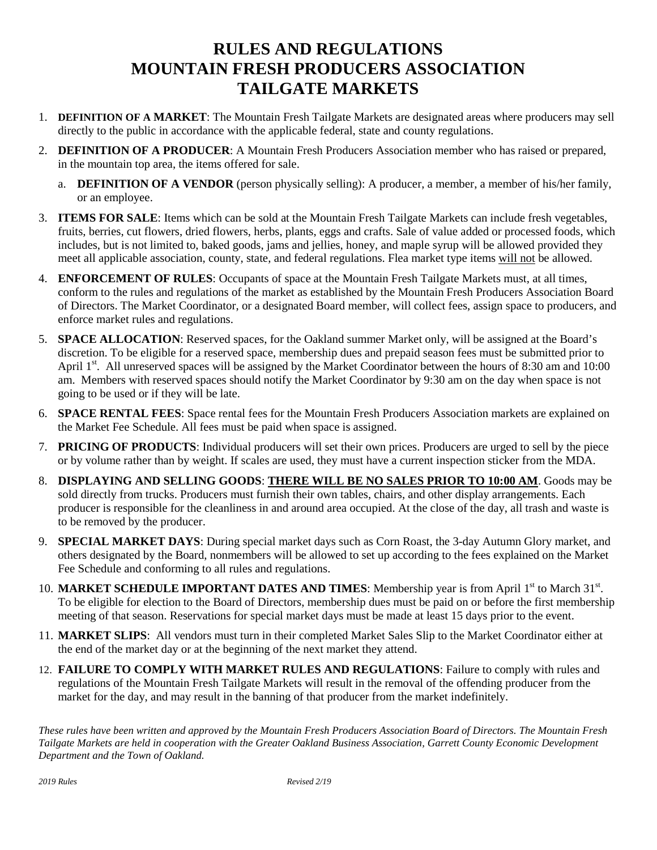## **RULES AND REGULATIONS MOUNTAIN FRESH PRODUCERS ASSOCIATION TAILGATE MARKETS**

- 1. **DEFINITION OF A MARKET**: The Mountain Fresh Tailgate Markets are designated areas where producers may sell directly to the public in accordance with the applicable federal, state and county regulations.
- 2. **DEFINITION OF A PRODUCER**: A Mountain Fresh Producers Association member who has raised or prepared, in the mountain top area, the items offered for sale.
	- a. **DEFINITION OF A VENDOR** (person physically selling): A producer, a member, a member of his/her family, or an employee.
- 3. **ITEMS FOR SALE**: Items which can be sold at the Mountain Fresh Tailgate Markets can include fresh vegetables, fruits, berries, cut flowers, dried flowers, herbs, plants, eggs and crafts. Sale of value added or processed foods, which includes, but is not limited to, baked goods, jams and jellies, honey, and maple syrup will be allowed provided they meet all applicable association, county, state, and federal regulations. Flea market type items will not be allowed.
- 4. **ENFORCEMENT OF RULES**: Occupants of space at the Mountain Fresh Tailgate Markets must, at all times, conform to the rules and regulations of the market as established by the Mountain Fresh Producers Association Board of Directors. The Market Coordinator, or a designated Board member, will collect fees, assign space to producers, and enforce market rules and regulations.
- 5. **SPACE ALLOCATION**: Reserved spaces, for the Oakland summer Market only, will be assigned at the Board's discretion. To be eligible for a reserved space, membership dues and prepaid season fees must be submitted prior to April 1<sup>st</sup>. All unreserved spaces will be assigned by the Market Coordinator between the hours of 8:30 am and 10:00 am. Members with reserved spaces should notify the Market Coordinator by 9:30 am on the day when space is not going to be used or if they will be late.
- 6. **SPACE RENTAL FEES**: Space rental fees for the Mountain Fresh Producers Association markets are explained on the Market Fee Schedule. All fees must be paid when space is assigned.
- 7. **PRICING OF PRODUCTS**: Individual producers will set their own prices. Producers are urged to sell by the piece or by volume rather than by weight. If scales are used, they must have a current inspection sticker from the MDA.
- 8. **DISPLAYING AND SELLING GOODS**: **THERE WILL BE NO SALES PRIOR TO 10:00 AM**. Goods may be sold directly from trucks. Producers must furnish their own tables, chairs, and other display arrangements. Each producer is responsible for the cleanliness in and around area occupied. At the close of the day, all trash and waste is to be removed by the producer.
- 9. **SPECIAL MARKET DAYS**: During special market days such as Corn Roast, the 3-day Autumn Glory market, and others designated by the Board, nonmembers will be allowed to set up according to the fees explained on the Market Fee Schedule and conforming to all rules and regulations.
- 10. MARKET SCHEDULE IMPORTANT DATES AND TIMES: Membership year is from April 1<sup>st</sup> to March 31<sup>st</sup>. To be eligible for election to the Board of Directors, membership dues must be paid on or before the first membership meeting of that season. Reservations for special market days must be made at least 15 days prior to the event.
- 11. **MARKET SLIPS**: All vendors must turn in their completed Market Sales Slip to the Market Coordinator either at the end of the market day or at the beginning of the next market they attend.
- 12. **FAILURE TO COMPLY WITH MARKET RULES AND REGULATIONS**: Failure to comply with rules and regulations of the Mountain Fresh Tailgate Markets will result in the removal of the offending producer from the market for the day, and may result in the banning of that producer from the market indefinitely.

*These rules have been written and approved by the Mountain Fresh Producers Association Board of Directors. The Mountain Fresh Tailgate Markets are held in cooperation with the Greater Oakland Business Association, Garrett County Economic Development Department and the Town of Oakland.*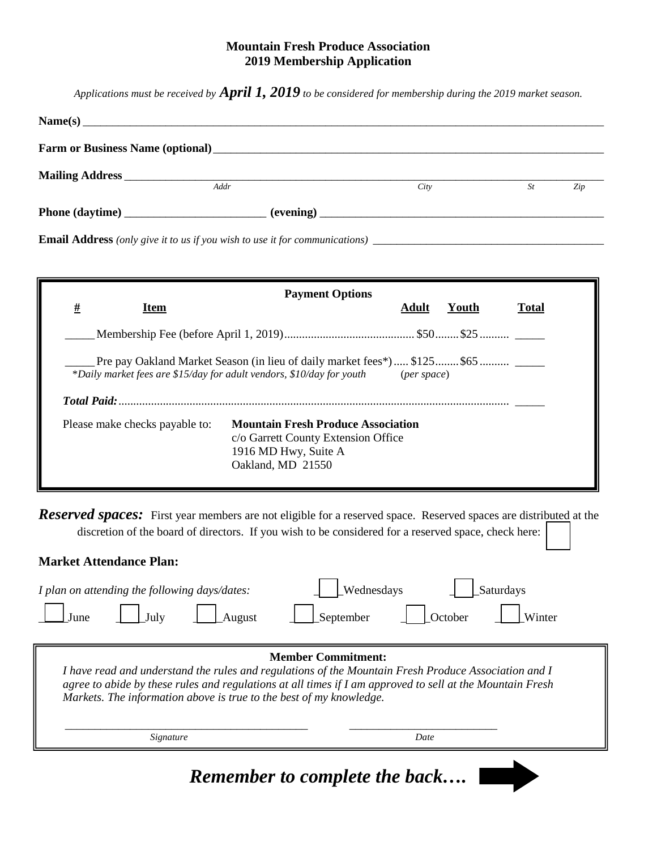#### **Mountain Fresh Produce Association 2019 Membership Application**

*Applications must be received by April 1, 2019 to be considered for membership during the 2019 market season.*

|                 | Name(s)                                                                      |      |    |     |
|-----------------|------------------------------------------------------------------------------|------|----|-----|
|                 | Farm or Business Name (optional)<br><u>Earns of Business Name (optional)</u> |      |    |     |
|                 | Addr                                                                         | City | St | Zip |
| Phone (daytime) |                                                                              |      |    |     |
|                 |                                                                              |      |    |     |

| <u>#</u><br>Item                                                                                                                                                | <b>Payment Options</b>                                                                                                                             | Adult       | Youth | <b>Total</b> |
|-----------------------------------------------------------------------------------------------------------------------------------------------------------------|----------------------------------------------------------------------------------------------------------------------------------------------------|-------------|-------|--------------|
|                                                                                                                                                                 |                                                                                                                                                    |             |       |              |
|                                                                                                                                                                 | Pre pay Oakland Market Season (in lieu of daily market fees*)  \$125 \$65<br>*Daily market fees are \$15/day for adult vendors, \$10/day for youth | (per space) |       |              |
| <b>Mountain Fresh Produce Association</b><br>Please make checks payable to:<br>c/o Garrett County Extension Office<br>1916 MD Hwy, Suite A<br>Oakland, MD 21550 |                                                                                                                                                    |             |       |              |

*Reserved spaces:* First year members are not eligible for a reserved space. Reserved spaces are distributed at the discretion of the board of directors. If you wish to be considered for a reserved space, check here:

| <b>Market Attendance Plan:</b>                                                                                                                                                                                                                                                                                        |                                                                  |  |
|-----------------------------------------------------------------------------------------------------------------------------------------------------------------------------------------------------------------------------------------------------------------------------------------------------------------------|------------------------------------------------------------------|--|
| I plan on attending the following days/dates:<br>July<br><b>August</b><br>June                                                                                                                                                                                                                                        | <b>Wednesdays</b><br>Saturdays<br>September<br>October<br>Winter |  |
| <b>Member Commitment:</b><br>I have read and understand the rules and regulations of the Mountain Fresh Produce Association and I<br>agree to abide by these rules and regulations at all times if I am approved to sell at the Mountain Fresh<br>Markets. The information above is true to the best of my knowledge. |                                                                  |  |
| Signature                                                                                                                                                                                                                                                                                                             | Date                                                             |  |
|                                                                                                                                                                                                                                                                                                                       |                                                                  |  |

*Remember to complete the back….*